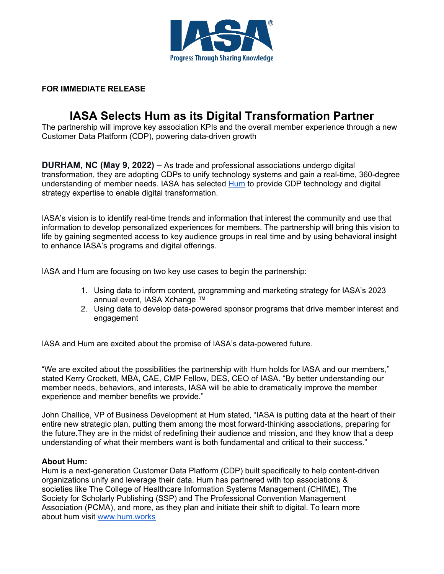

## **FOR IMMEDIATE RELEASE**

## **IASA Selects Hum as its Digital Transformation Partner**

The partnership will improve key association KPIs and the overall member experience through a new Customer Data Platform (CDP), powering data-driven growth

**DURHAM, NC (May 9, 2022)** – As trade and professional associations undergo digital transformation, they are adopting CDPs to unify technology systems and gain a real-time, 360-degree understanding of member needs. IASA has selected [Hum](http://www.hum.works/associations) to provide CDP technology and digital strategy expertise to enable digital transformation.

IASA's vision is to identify real-time trends and information that interest the community and use that information to develop personalized experiences for members. The partnership will bring this vision to life by gaining segmented access to key audience groups in real time and by using behavioral insight to enhance IASA's programs and digital offerings.

IASA and Hum are focusing on two key use cases to begin the partnership:

- 1. Using data to inform content, programming and marketing strategy for IASA's 2023 annual event, IASA Xchange ™
- 2. Using data to develop data-powered sponsor programs that drive member interest and engagement

IASA and Hum are excited about the promise of IASA's data-powered future.

"We are excited about the possibilities the partnership with Hum holds for IASA and our members," stated Kerry Crockett, MBA, CAE, CMP Fellow, DES, CEO of IASA. "By better understanding our member needs, behaviors, and interests, IASA will be able to dramatically improve the member experience and member benefits we provide."

John Challice, VP of Business Development at Hum stated, "IASA is putting data at the heart of their entire new strategic plan, putting them among the most forward-thinking associations, preparing for the future.They are in the midst of redefining their audience and mission, and they know that a deep understanding of what their members want is both fundamental and critical to their success."

## **About Hum:**

Hum is a next-generation Customer Data Platform (CDP) built specifically to help content-driven organizations unify and leverage their data. Hum has partnered with top associations & societies like The College of Healthcare Information Systems Management (CHIME), The Society for Scholarly Publishing (SSP) and The Professional Convention Management Association (PCMA), and more, as they plan and initiate their shift to digital. To learn more about hum visit [www.hum.works](http://www.hum.works/)